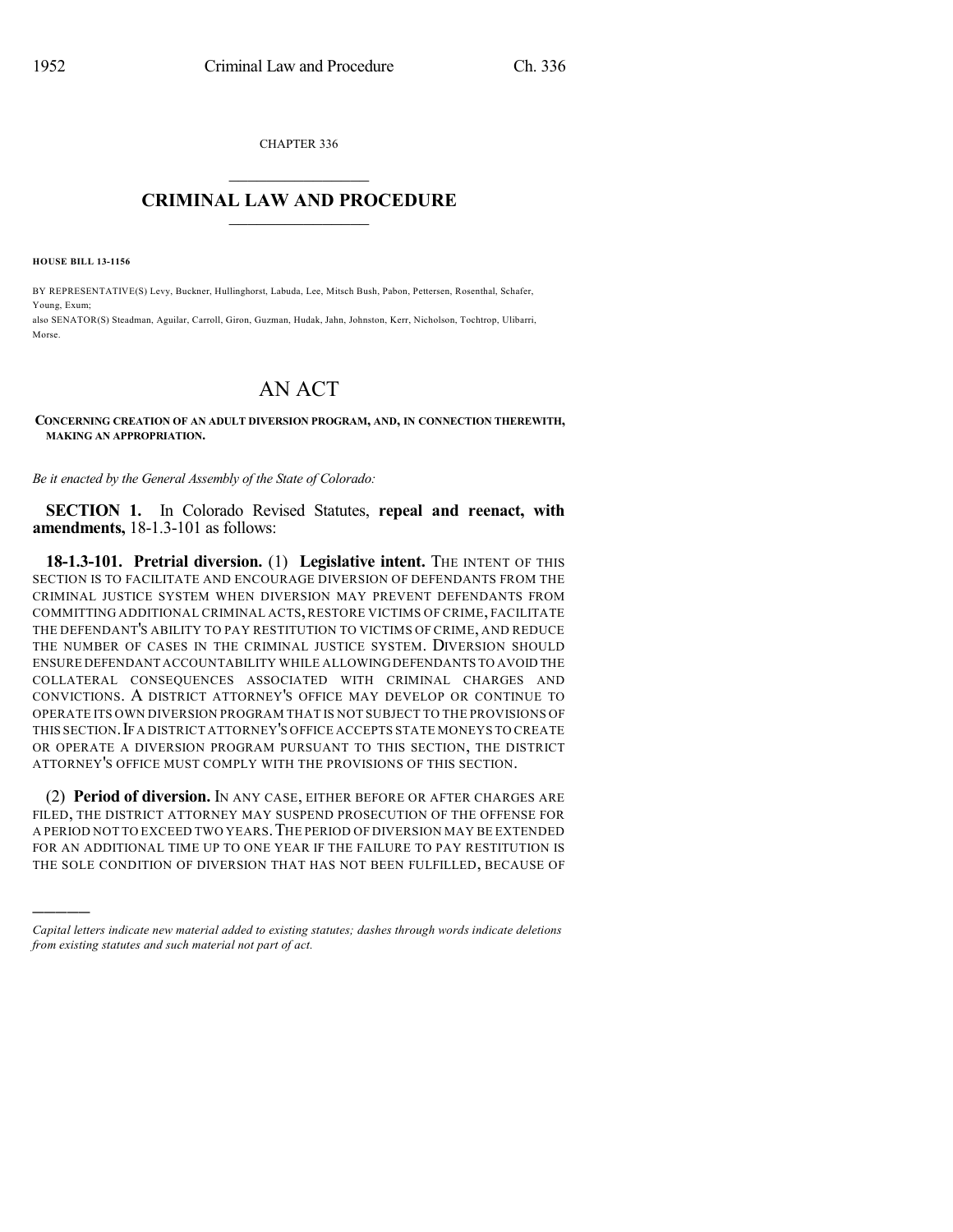CHAPTER 336

## $\mathcal{L}_\text{max}$  . The set of the set of the set of the set of the set of the set of the set of the set of the set of the set of the set of the set of the set of the set of the set of the set of the set of the set of the set **CRIMINAL LAW AND PROCEDURE**  $\_$

**HOUSE BILL 13-1156**

)))))

BY REPRESENTATIVE(S) Levy, Buckner, Hullinghorst, Labuda, Lee, Mitsch Bush, Pabon, Pettersen, Rosenthal, Schafer, Young, Exum; also SENATOR(S) Steadman, Aguilar, Carroll, Giron, Guzman, Hudak, Jahn, Johnston, Kerr, Nicholson, Tochtrop, Ulibarri, Morse.

## AN ACT

## **CONCERNING CREATION OF AN ADULT DIVERSION PROGRAM, AND, IN CONNECTION THEREWITH, MAKING AN APPROPRIATION.**

*Be it enacted by the General Assembly of the State of Colorado:*

**SECTION 1.** In Colorado Revised Statutes, **repeal and reenact, with amendments,** 18-1.3-101 as follows:

**18-1.3-101. Pretrial diversion.** (1) **Legislative intent.** THE INTENT OF THIS SECTION IS TO FACILITATE AND ENCOURAGE DIVERSION OF DEFENDANTS FROM THE CRIMINAL JUSTICE SYSTEM WHEN DIVERSION MAY PREVENT DEFENDANTS FROM COMMITTING ADDITIONAL CRIMINAL ACTS,RESTORE VICTIMS OF CRIME, FACILITATE THE DEFENDANT'S ABILITY TO PAY RESTITUTION TO VICTIMS OF CRIME, AND REDUCE THE NUMBER OF CASES IN THE CRIMINAL JUSTICE SYSTEM. DIVERSION SHOULD ENSURE DEFENDANT ACCOUNTABILITY WHILE ALLOWINGDEFENDANTS TO AVOID THE COLLATERAL CONSEQUENCES ASSOCIATED WITH CRIMINAL CHARGES AND CONVICTIONS. A DISTRICT ATTORNEY'S OFFICE MAY DEVELOP OR CONTINUE TO OPERATE ITS OWN DIVERSION PROGRAM THAT IS NOT SUBJECT TO THE PROVISIONS OF THIS SECTION. IF A DISTRICT ATTORNEY'S OFFICE ACCEPTS STATE MONEYS TO CREATE OR OPERATE A DIVERSION PROGRAM PURSUANT TO THIS SECTION, THE DISTRICT ATTORNEY'S OFFICE MUST COMPLY WITH THE PROVISIONS OF THIS SECTION.

(2) **Period of diversion.** IN ANY CASE, EITHER BEFORE OR AFTER CHARGES ARE FILED, THE DISTRICT ATTORNEY MAY SUSPEND PROSECUTION OF THE OFFENSE FOR A PERIOD NOT TO EXCEED TWO YEARS.THE PERIOD OF DIVERSION MAY BE EXTENDED FOR AN ADDITIONAL TIME UP TO ONE YEAR IF THE FAILURE TO PAY RESTITUTION IS THE SOLE CONDITION OF DIVERSION THAT HAS NOT BEEN FULFILLED, BECAUSE OF

*Capital letters indicate new material added to existing statutes; dashes through words indicate deletions from existing statutes and such material not part of act.*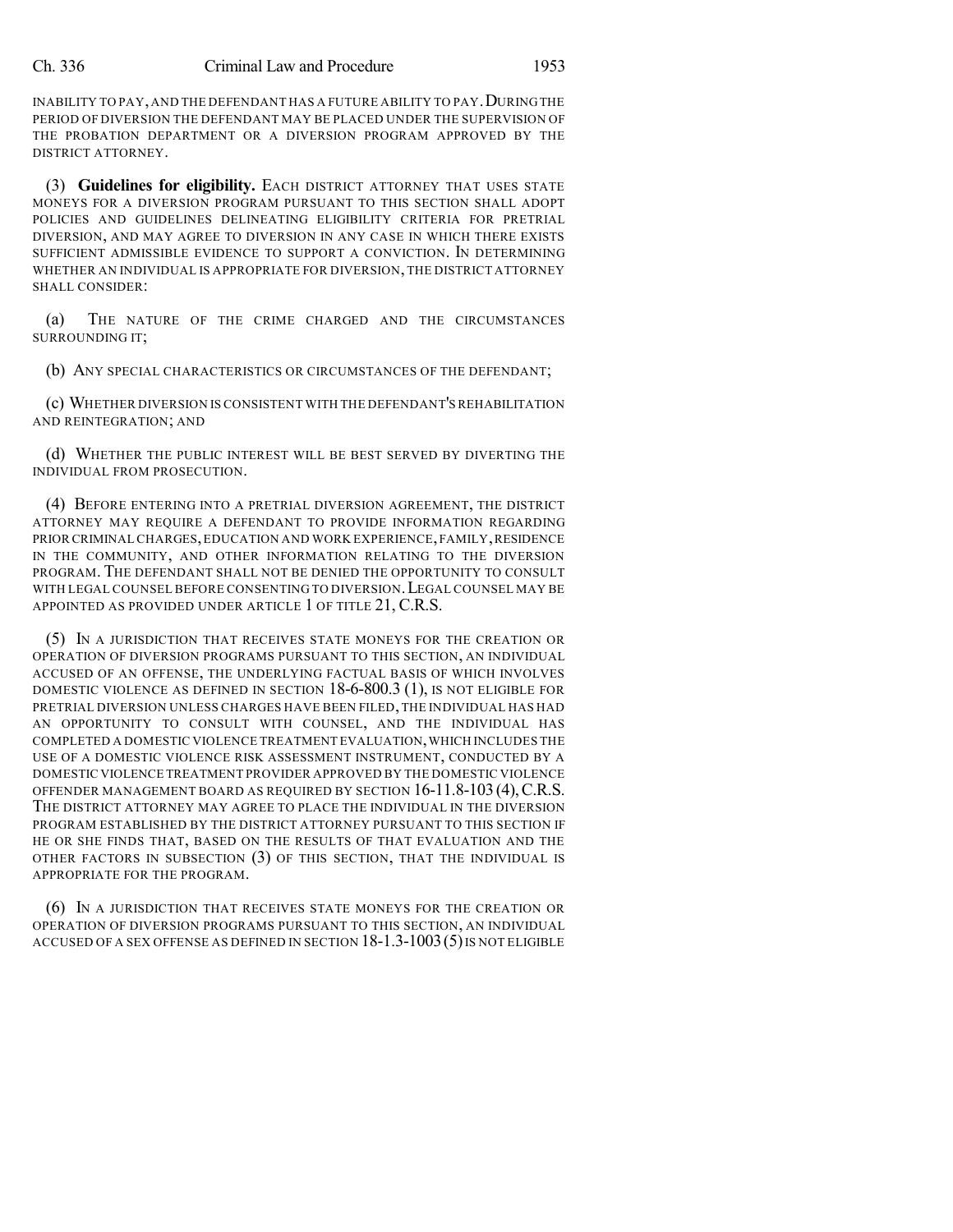INABILITY TO PAY, AND THE DEFENDANT HAS A FUTURE ABILITY TO PAY. DURING THE PERIOD OF DIVERSION THE DEFENDANT MAY BE PLACED UNDER THE SUPERVISION OF THE PROBATION DEPARTMENT OR A DIVERSION PROGRAM APPROVED BY THE DISTRICT ATTORNEY.

(3) **Guidelines for eligibility.** EACH DISTRICT ATTORNEY THAT USES STATE MONEYS FOR A DIVERSION PROGRAM PURSUANT TO THIS SECTION SHALL ADOPT POLICIES AND GUIDELINES DELINEATING ELIGIBILITY CRITERIA FOR PRETRIAL DIVERSION, AND MAY AGREE TO DIVERSION IN ANY CASE IN WHICH THERE EXISTS SUFFICIENT ADMISSIBLE EVIDENCE TO SUPPORT A CONVICTION. IN DETERMINING WHETHER AN INDIVIDUAL IS APPROPRIATE FOR DIVERSION, THE DISTRICT ATTORNEY SHALL CONSIDER:

(a) THE NATURE OF THE CRIME CHARGED AND THE CIRCUMSTANCES SURROUNDING IT;

(b) ANY SPECIAL CHARACTERISTICS OR CIRCUMSTANCES OF THE DEFENDANT;

(c) WHETHER DIVERSION IS CONSISTENT WITH THE DEFENDANT'S REHABILITATION AND REINTEGRATION; AND

(d) WHETHER THE PUBLIC INTEREST WILL BE BEST SERVED BY DIVERTING THE INDIVIDUAL FROM PROSECUTION.

(4) BEFORE ENTERING INTO A PRETRIAL DIVERSION AGREEMENT, THE DISTRICT ATTORNEY MAY REQUIRE A DEFENDANT TO PROVIDE INFORMATION REGARDING PRIOR CRIMINAL CHARGES,EDUCATION AND WORK EXPERIENCE,FAMILY,RESIDENCE IN THE COMMUNITY, AND OTHER INFORMATION RELATING TO THE DIVERSION PROGRAM. THE DEFENDANT SHALL NOT BE DENIED THE OPPORTUNITY TO CONSULT WITH LEGAL COUNSEL BEFORE CONSENTING TO DIVERSION.LEGAL COUNSEL MAY BE APPOINTED AS PROVIDED UNDER ARTICLE 1 OF TITLE 21, C.R.S.

(5) IN A JURISDICTION THAT RECEIVES STATE MONEYS FOR THE CREATION OR OPERATION OF DIVERSION PROGRAMS PURSUANT TO THIS SECTION, AN INDIVIDUAL ACCUSED OF AN OFFENSE, THE UNDERLYING FACTUAL BASIS OF WHICH INVOLVES DOMESTIC VIOLENCE AS DEFINED IN SECTION 18-6-800.3 (1), IS NOT ELIGIBLE FOR PRETRIAL DIVERSION UNLESS CHARGES HAVE BEEN FILED,THE INDIVIDUAL HAS HAD AN OPPORTUNITY TO CONSULT WITH COUNSEL, AND THE INDIVIDUAL HAS COMPLETED A DOMESTIC VIOLENCE TREATMENT EVALUATION,WHICH INCLUDES THE USE OF A DOMESTIC VIOLENCE RISK ASSESSMENT INSTRUMENT, CONDUCTED BY A DOMESTIC VIOLENCE TREATMENT PROVIDER APPROVED BY THE DOMESTIC VIOLENCE OFFENDER MANAGEMENT BOARD AS REQUIRED BY SECTION 16-11.8-103(4),C.R.S. THE DISTRICT ATTORNEY MAY AGREE TO PLACE THE INDIVIDUAL IN THE DIVERSION PROGRAM ESTABLISHED BY THE DISTRICT ATTORNEY PURSUANT TO THIS SECTION IF HE OR SHE FINDS THAT, BASED ON THE RESULTS OF THAT EVALUATION AND THE OTHER FACTORS IN SUBSECTION (3) OF THIS SECTION, THAT THE INDIVIDUAL IS APPROPRIATE FOR THE PROGRAM.

(6) IN A JURISDICTION THAT RECEIVES STATE MONEYS FOR THE CREATION OR OPERATION OF DIVERSION PROGRAMS PURSUANT TO THIS SECTION, AN INDIVIDUAL ACCUSED OF A SEX OFFENSE AS DEFINED IN SECTION 18-1.3-1003 (5) IS NOT ELIGIBLE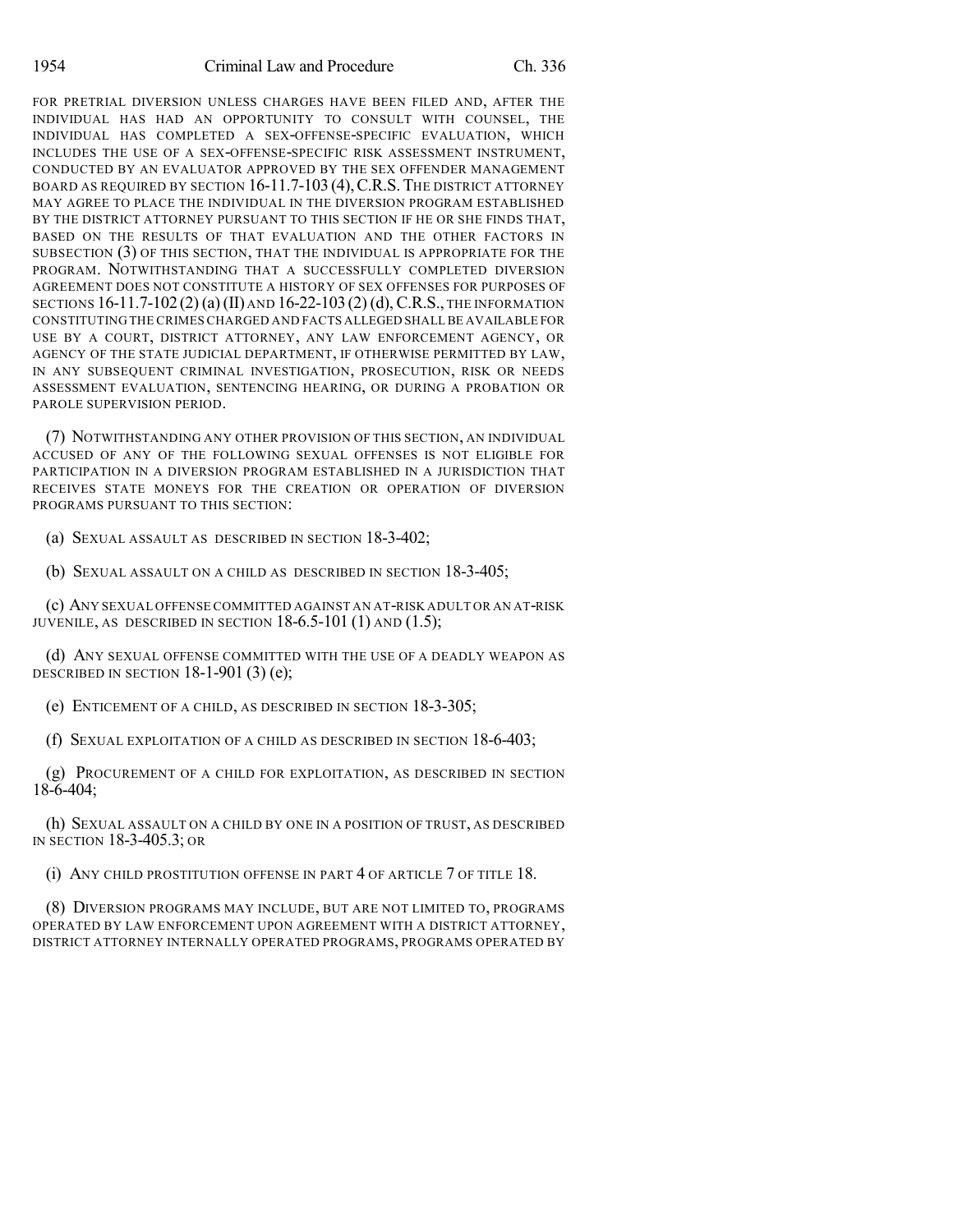FOR PRETRIAL DIVERSION UNLESS CHARGES HAVE BEEN FILED AND, AFTER THE INDIVIDUAL HAS HAD AN OPPORTUNITY TO CONSULT WITH COUNSEL, THE INDIVIDUAL HAS COMPLETED A SEX-OFFENSE-SPECIFIC EVALUATION, WHICH INCLUDES THE USE OF A SEX-OFFENSE-SPECIFIC RISK ASSESSMENT INSTRUMENT, CONDUCTED BY AN EVALUATOR APPROVED BY THE SEX OFFENDER MANAGEMENT BOARD AS REQUIRED BY SECTION 16-11.7-103 (4),C.R.S. THE DISTRICT ATTORNEY MAY AGREE TO PLACE THE INDIVIDUAL IN THE DIVERSION PROGRAM ESTABLISHED BY THE DISTRICT ATTORNEY PURSUANT TO THIS SECTION IF HE OR SHE FINDS THAT, BASED ON THE RESULTS OF THAT EVALUATION AND THE OTHER FACTORS IN SUBSECTION (3) OF THIS SECTION, THAT THE INDIVIDUAL IS APPROPRIATE FOR THE PROGRAM. NOTWITHSTANDING THAT A SUCCESSFULLY COMPLETED DIVERSION AGREEMENT DOES NOT CONSTITUTE A HISTORY OF SEX OFFENSES FOR PURPOSES OF SECTIONS  $16-11.7-102(2)$  (a) (II) and  $16-22-103(2)$  (d), C.R.S., the information CONSTITUTING THE CRIMES CHARGED AND FACTS ALLEGED SHALL BE AVAILABLE FOR USE BY A COURT, DISTRICT ATTORNEY, ANY LAW ENFORCEMENT AGENCY, OR AGENCY OF THE STATE JUDICIAL DEPARTMENT, IF OTHERWISE PERMITTED BY LAW, IN ANY SUBSEQUENT CRIMINAL INVESTIGATION, PROSECUTION, RISK OR NEEDS ASSESSMENT EVALUATION, SENTENCING HEARING, OR DURING A PROBATION OR PAROLE SUPERVISION PERIOD.

(7) NOTWITHSTANDING ANY OTHER PROVISION OF THIS SECTION, AN INDIVIDUAL ACCUSED OF ANY OF THE FOLLOWING SEXUAL OFFENSES IS NOT ELIGIBLE FOR PARTICIPATION IN A DIVERSION PROGRAM ESTABLISHED IN A JURISDICTION THAT RECEIVES STATE MONEYS FOR THE CREATION OR OPERATION OF DIVERSION PROGRAMS PURSUANT TO THIS SECTION:

(a) SEXUAL ASSAULT AS DESCRIBED IN SECTION 18-3-402;

(b) SEXUAL ASSAULT ON A CHILD AS DESCRIBED IN SECTION 18-3-405;

(c) ANY SEXUAL OFFENSE COMMITTED AGAINST AN AT-RISK ADULT OR AN AT-RISK JUVENILE, AS DESCRIBED IN SECTION  $18-6.5-101(1)$  AND  $(1.5)$ ;

(d) ANY SEXUAL OFFENSE COMMITTED WITH THE USE OF A DEADLY WEAPON AS DESCRIBED IN SECTION  $18-1-901$  (3) (e);

(e) ENTICEMENT OF A CHILD, AS DESCRIBED IN SECTION 18-3-305;

(f) SEXUAL EXPLOITATION OF A CHILD AS DESCRIBED IN SECTION 18-6-403;

(g) PROCUREMENT OF A CHILD FOR EXPLOITATION, AS DESCRIBED IN SECTION 18-6-404;

(h) SEXUAL ASSAULT ON A CHILD BY ONE IN A POSITION OF TRUST, AS DESCRIBED IN SECTION 18-3-405.3; OR

(i) ANY CHILD PROSTITUTION OFFENSE IN PART 4 OF ARTICLE 7 OF TITLE 18.

(8) DIVERSION PROGRAMS MAY INCLUDE, BUT ARE NOT LIMITED TO, PROGRAMS OPERATED BY LAW ENFORCEMENT UPON AGREEMENT WITH A DISTRICT ATTORNEY, DISTRICT ATTORNEY INTERNALLY OPERATED PROGRAMS, PROGRAMS OPERATED BY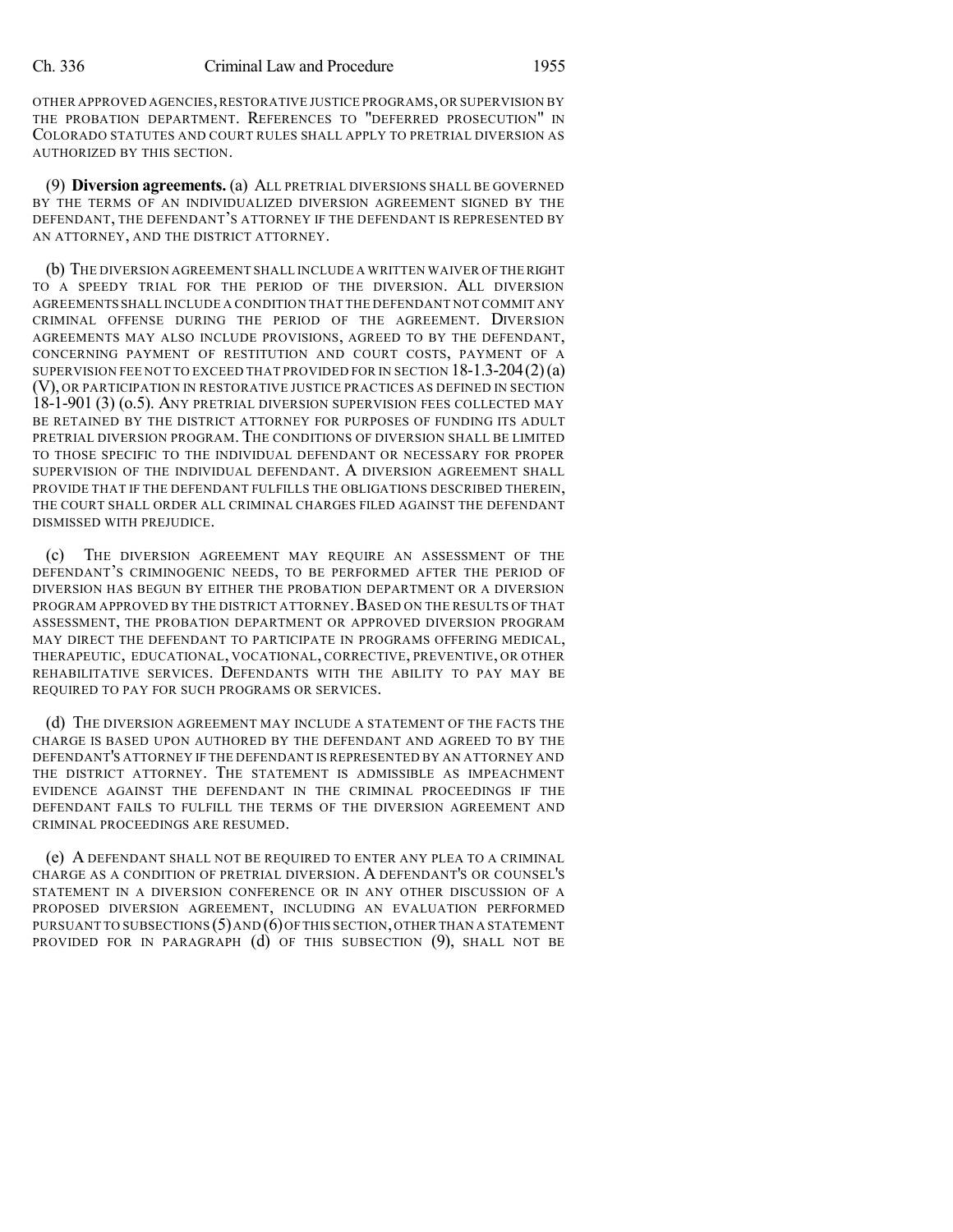OTHER APPROVED AGENCIES,RESTORATIVE JUSTICE PROGRAMS,OR SUPERVISION BY THE PROBATION DEPARTMENT. REFERENCES TO "DEFERRED PROSECUTION" IN COLORADO STATUTES AND COURT RULES SHALL APPLY TO PRETRIAL DIVERSION AS AUTHORIZED BY THIS SECTION.

(9) **Diversion agreements.** (a) ALL PRETRIAL DIVERSIONS SHALL BE GOVERNED BY THE TERMS OF AN INDIVIDUALIZED DIVERSION AGREEMENT SIGNED BY THE DEFENDANT, THE DEFENDANT'S ATTORNEY IF THE DEFENDANT IS REPRESENTED BY AN ATTORNEY, AND THE DISTRICT ATTORNEY.

(b) THE DIVERSION AGREEMENT SHALL INCLUDE A WRITTEN WAIVER OFTHERIGHT TO A SPEEDY TRIAL FOR THE PERIOD OF THE DIVERSION. ALL DIVERSION AGREEMENTS SHALL INCLUDE A CONDITION THAT THE DEFENDANT NOT COMMIT ANY CRIMINAL OFFENSE DURING THE PERIOD OF THE AGREEMENT. DIVERSION AGREEMENTS MAY ALSO INCLUDE PROVISIONS, AGREED TO BY THE DEFENDANT, CONCERNING PAYMENT OF RESTITUTION AND COURT COSTS, PAYMENT OF A SUPERVISION FEE NOT TO EXCEED THAT PROVIDED FOR IN SECTION  $18-1.3-204(2)(a)$ (V), OR PARTICIPATION IN RESTORATIVE JUSTICE PRACTICES AS DEFINED IN SECTION 18-1-901 (3) (o.5). ANY PRETRIAL DIVERSION SUPERVISION FEES COLLECTED MAY BE RETAINED BY THE DISTRICT ATTORNEY FOR PURPOSES OF FUNDING ITS ADULT PRETRIAL DIVERSION PROGRAM. THE CONDITIONS OF DIVERSION SHALL BE LIMITED TO THOSE SPECIFIC TO THE INDIVIDUAL DEFENDANT OR NECESSARY FOR PROPER SUPERVISION OF THE INDIVIDUAL DEFENDANT. A DIVERSION AGREEMENT SHALL PROVIDE THAT IF THE DEFENDANT FULFILLS THE OBLIGATIONS DESCRIBED THEREIN, THE COURT SHALL ORDER ALL CRIMINAL CHARGES FILED AGAINST THE DEFENDANT DISMISSED WITH PREJUDICE.

(c) THE DIVERSION AGREEMENT MAY REQUIRE AN ASSESSMENT OF THE DEFENDANT'S CRIMINOGENIC NEEDS, TO BE PERFORMED AFTER THE PERIOD OF DIVERSION HAS BEGUN BY EITHER THE PROBATION DEPARTMENT OR A DIVERSION PROGRAM APPROVED BY THE DISTRICT ATTORNEY.BASED ON THE RESULTS OF THAT ASSESSMENT, THE PROBATION DEPARTMENT OR APPROVED DIVERSION PROGRAM MAY DIRECT THE DEFENDANT TO PARTICIPATE IN PROGRAMS OFFERING MEDICAL, THERAPEUTIC, EDUCATIONAL, VOCATIONAL, CORRECTIVE, PREVENTIVE, OR OTHER REHABILITATIVE SERVICES. DEFENDANTS WITH THE ABILITY TO PAY MAY BE REQUIRED TO PAY FOR SUCH PROGRAMS OR SERVICES.

(d) THE DIVERSION AGREEMENT MAY INCLUDE A STATEMENT OF THE FACTS THE CHARGE IS BASED UPON AUTHORED BY THE DEFENDANT AND AGREED TO BY THE DEFENDANT'S ATTORNEY IF THE DEFENDANT IS REPRESENTED BY AN ATTORNEY AND THE DISTRICT ATTORNEY. THE STATEMENT IS ADMISSIBLE AS IMPEACHMENT EVIDENCE AGAINST THE DEFENDANT IN THE CRIMINAL PROCEEDINGS IF THE DEFENDANT FAILS TO FULFILL THE TERMS OF THE DIVERSION AGREEMENT AND CRIMINAL PROCEEDINGS ARE RESUMED.

(e) A DEFENDANT SHALL NOT BE REQUIRED TO ENTER ANY PLEA TO A CRIMINAL CHARGE AS A CONDITION OF PRETRIAL DIVERSION. A DEFENDANT'S OR COUNSEL'S STATEMENT IN A DIVERSION CONFERENCE OR IN ANY OTHER DISCUSSION OF A PROPOSED DIVERSION AGREEMENT, INCLUDING AN EVALUATION PERFORMED PURSUANT TO SUBSECTIONS  $(5)$  AND  $(6)$  OF THIS SECTION, OTHER THAN A STATEMENT PROVIDED FOR IN PARAGRAPH (d) OF THIS SUBSECTION (9), SHALL NOT BE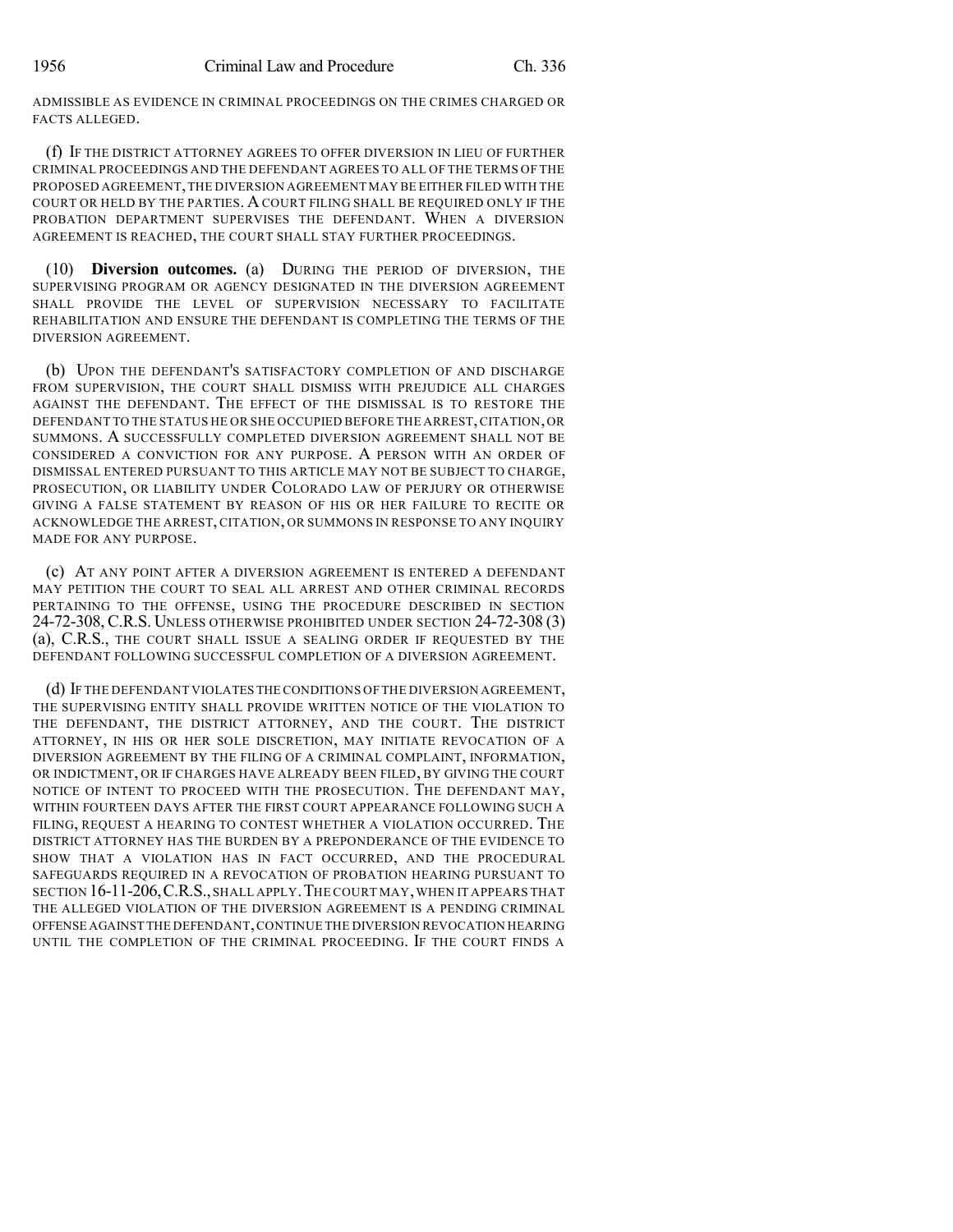ADMISSIBLE AS EVIDENCE IN CRIMINAL PROCEEDINGS ON THE CRIMES CHARGED OR FACTS ALLEGED.

(f) IF THE DISTRICT ATTORNEY AGREES TO OFFER DIVERSION IN LIEU OF FURTHER CRIMINAL PROCEEDINGS AND THE DEFENDANT AGREES TO ALL OF THE TERMS OF THE PROPOSED AGREEMENT,THE DIVERSION AGREEMENT MAY BE EITHER FILED WITH THE COURT OR HELD BY THE PARTIES. ACOURT FILING SHALL BE REQUIRED ONLY IF THE PROBATION DEPARTMENT SUPERVISES THE DEFENDANT. WHEN A DIVERSION AGREEMENT IS REACHED, THE COURT SHALL STAY FURTHER PROCEEDINGS.

(10) **Diversion outcomes.** (a) DURING THE PERIOD OF DIVERSION, THE SUPERVISING PROGRAM OR AGENCY DESIGNATED IN THE DIVERSION AGREEMENT SHALL PROVIDE THE LEVEL OF SUPERVISION NECESSARY TO FACILITATE REHABILITATION AND ENSURE THE DEFENDANT IS COMPLETING THE TERMS OF THE DIVERSION AGREEMENT.

(b) UPON THE DEFENDANT'S SATISFACTORY COMPLETION OF AND DISCHARGE FROM SUPERVISION, THE COURT SHALL DISMISS WITH PREJUDICE ALL CHARGES AGAINST THE DEFENDANT. THE EFFECT OF THE DISMISSAL IS TO RESTORE THE DEFENDANT TO THE STATUS HE OR SHE OCCUPIED BEFORE THE ARREST,CITATION,OR SUMMONS. A SUCCESSFULLY COMPLETED DIVERSION AGREEMENT SHALL NOT BE CONSIDERED A CONVICTION FOR ANY PURPOSE. A PERSON WITH AN ORDER OF DISMISSAL ENTERED PURSUANT TO THIS ARTICLE MAY NOT BE SUBJECT TO CHARGE, PROSECUTION, OR LIABILITY UNDER COLORADO LAW OF PERJURY OR OTHERWISE GIVING A FALSE STATEMENT BY REASON OF HIS OR HER FAILURE TO RECITE OR ACKNOWLEDGE THE ARREST, CITATION, OR SUMMONS IN RESPONSE TO ANY INQUIRY MADE FOR ANY PURPOSE.

(c) AT ANY POINT AFTER A DIVERSION AGREEMENT IS ENTERED A DEFENDANT MAY PETITION THE COURT TO SEAL ALL ARREST AND OTHER CRIMINAL RECORDS PERTAINING TO THE OFFENSE, USING THE PROCEDURE DESCRIBED IN SECTION 24-72-308, C.R.S. UNLESS OTHERWISE PROHIBITED UNDER SECTION 24-72-308 (3) (a), C.R.S., THE COURT SHALL ISSUE A SEALING ORDER IF REQUESTED BY THE DEFENDANT FOLLOWING SUCCESSFUL COMPLETION OF A DIVERSION AGREEMENT.

(d) IF THE DEFENDANT VIOLATES THECONDITIONS OF THE DIVERSION AGREEMENT, THE SUPERVISING ENTITY SHALL PROVIDE WRITTEN NOTICE OF THE VIOLATION TO THE DEFENDANT, THE DISTRICT ATTORNEY, AND THE COURT. THE DISTRICT ATTORNEY, IN HIS OR HER SOLE DISCRETION, MAY INITIATE REVOCATION OF A DIVERSION AGREEMENT BY THE FILING OF A CRIMINAL COMPLAINT, INFORMATION, OR INDICTMENT, OR IF CHARGES HAVE ALREADY BEEN FILED, BY GIVING THE COURT NOTICE OF INTENT TO PROCEED WITH THE PROSECUTION. THE DEFENDANT MAY, WITHIN FOURTEEN DAYS AFTER THE FIRST COURT APPEARANCE FOLLOWING SUCH A FILING, REQUEST A HEARING TO CONTEST WHETHER A VIOLATION OCCURRED. THE DISTRICT ATTORNEY HAS THE BURDEN BY A PREPONDERANCE OF THE EVIDENCE TO SHOW THAT A VIOLATION HAS IN FACT OCCURRED, AND THE PROCEDURAL SAFEGUARDS REQUIRED IN A REVOCATION OF PROBATION HEARING PURSUANT TO SECTION 16-11-206,C.R.S.,SHALL APPLY.THE COURT MAY,WHEN IT APPEARS THAT THE ALLEGED VIOLATION OF THE DIVERSION AGREEMENT IS A PENDING CRIMINAL OFFENSE AGAINST THE DEFENDANT,CONTINUE THE DIVERSION REVOCATION HEARING UNTIL THE COMPLETION OF THE CRIMINAL PROCEEDING. IF THE COURT FINDS A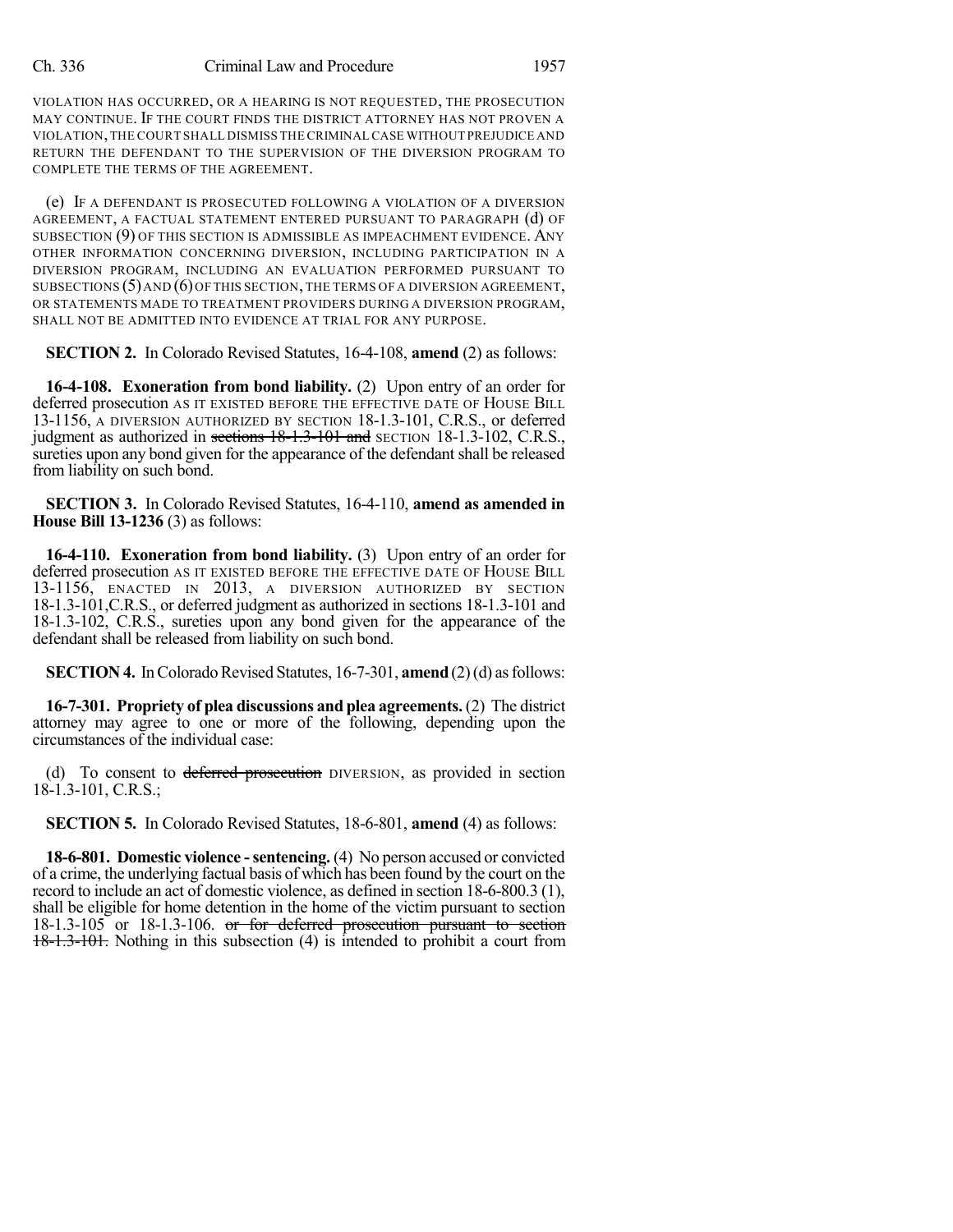VIOLATION HAS OCCURRED, OR A HEARING IS NOT REQUESTED, THE PROSECUTION MAY CONTINUE. IF THE COURT FINDS THE DISTRICT ATTORNEY HAS NOT PROVEN A VIOLATION,THE COURT SHALL DISMISS THE CRIMINAL CASE WITHOUT PREJUDICE AND RETURN THE DEFENDANT TO THE SUPERVISION OF THE DIVERSION PROGRAM TO COMPLETE THE TERMS OF THE AGREEMENT.

(e) IF A DEFENDANT IS PROSECUTED FOLLOWING A VIOLATION OF A DIVERSION AGREEMENT, A FACTUAL STATEMENT ENTERED PURSUANT TO PARAGRAPH (d) OF SUBSECTION (9) OF THIS SECTION IS ADMISSIBLE AS IMPEACHMENT EVIDENCE. ANY OTHER INFORMATION CONCERNING DIVERSION, INCLUDING PARTICIPATION IN A DIVERSION PROGRAM, INCLUDING AN EVALUATION PERFORMED PURSUANT TO SUBSECTIONS  $(5)$  AND  $(6)$  OF THIS SECTION, THE TERMS OF A DIVERSION AGREEMENT, OR STATEMENTS MADE TO TREATMENT PROVIDERS DURING A DIVERSION PROGRAM, SHALL NOT BE ADMITTED INTO EVIDENCE AT TRIAL FOR ANY PURPOSE.

**SECTION 2.** In Colorado Revised Statutes, 16-4-108, **amend** (2) as follows:

**16-4-108. Exoneration from bond liability.** (2) Upon entry of an order for deferred prosecution AS IT EXISTED BEFORE THE EFFECTIVE DATE OF HOUSE BILL 13-1156, A DIVERSION AUTHORIZED BY SECTION 18-1.3-101, C.R.S., or deferred judgment as authorized in sections 18-1.3-101 and SECTION 18-1.3-102, C.R.S., sureties upon any bond given for the appearance of the defendant shall be released from liability on such bond.

**SECTION 3.** In Colorado Revised Statutes, 16-4-110, **amend as amended in House Bill 13-1236** (3) as follows:

**16-4-110. Exoneration from bond liability.** (3) Upon entry of an order for deferred prosecution AS IT EXISTED BEFORE THE EFFECTIVE DATE OF HOUSE BILL 13-1156, ENACTED IN 2013, A DIVERSION AUTHORIZED BY SECTION 18-1.3-101,C.R.S., or deferred judgment as authorized in sections 18-1.3-101 and 18-1.3-102, C.R.S., sureties upon any bond given for the appearance of the defendant shall be released from liability on such bond.

**SECTION 4.** In Colorado Revised Statutes, 16-7-301, **amend** (2)(d) as follows:

**16-7-301. Propriety of plea discussions and plea agreements.** (2) The district attorney may agree to one or more of the following, depending upon the circumstances of the individual case:

(d) To consent to deferred prosecution DIVERSION, as provided in section  $18-1.3-101$ , C.R.S.;

**SECTION 5.** In Colorado Revised Statutes, 18-6-801, **amend** (4) as follows:

**18-6-801. Domestic violence -sentencing.** (4) No person accused or convicted of a crime, the underlying factual basis of which has been found by the court on the record to include an act of domestic violence, as defined in section 18-6-800.3 (1), shall be eligible for home detention in the home of the victim pursuant to section 18-1.3-105 or 18-1.3-106. or for deferred prosecution pursuant to section 18-1.3-101. Nothing in this subsection (4) is intended to prohibit a court from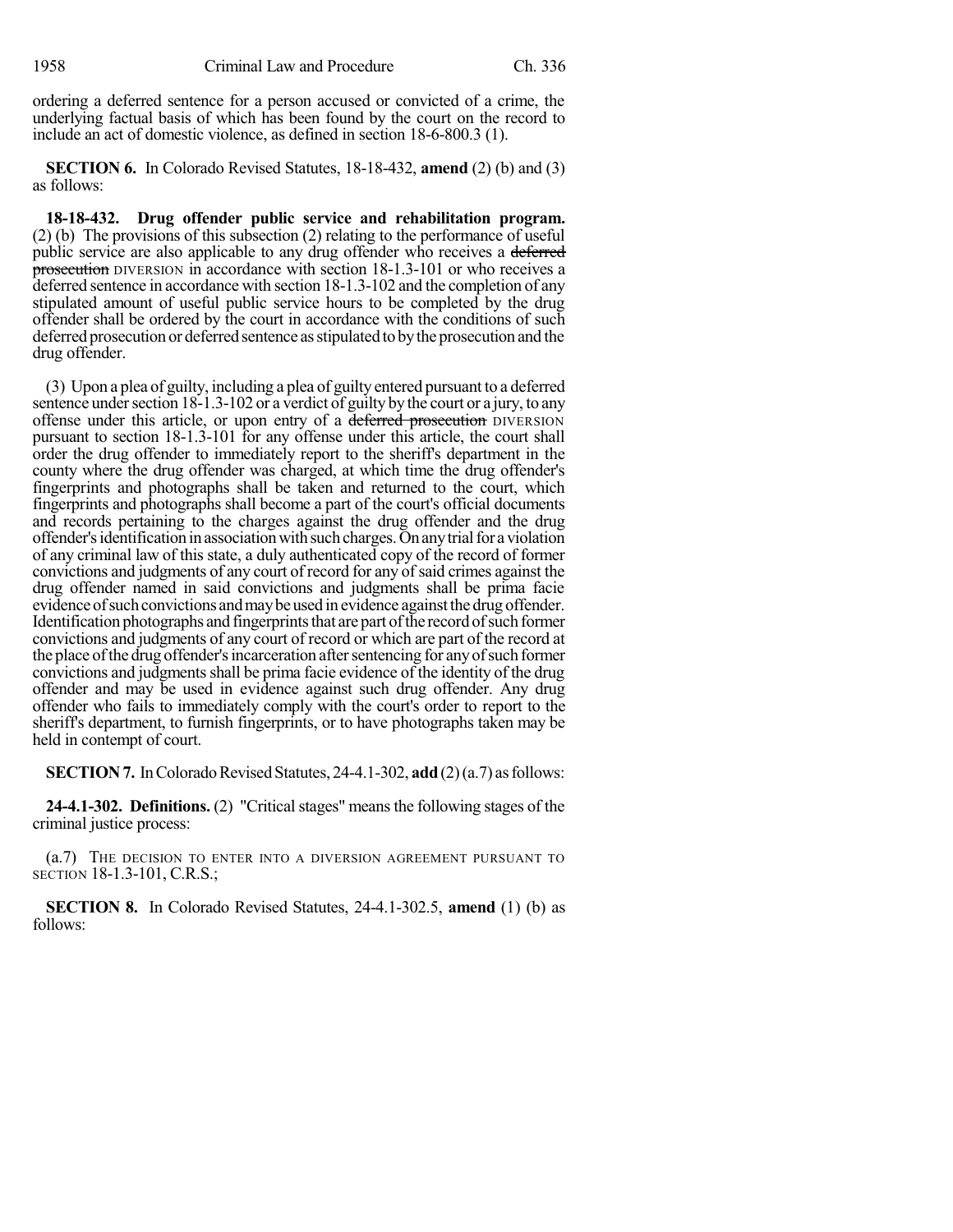ordering a deferred sentence for a person accused or convicted of a crime, the underlying factual basis of which has been found by the court on the record to include an act of domestic violence, as defined in section 18-6-800.3 (1).

**SECTION 6.** In Colorado Revised Statutes, 18-18-432, **amend** (2) (b) and (3) as follows:

**18-18-432. Drug offender public service and rehabilitation program.** (2) (b) The provisions of this subsection (2) relating to the performance of useful public service are also applicable to any drug offender who receives a deferred prosecution DIVERSION in accordance with section 18-1.3-101 or who receives a deferred sentence in accordance with section 18-1.3-102 and the completion of any stipulated amount of useful public service hours to be completed by the drug offender shall be ordered by the court in accordance with the conditions of such deferred prosecution or deferred sentence asstipulated to bythe prosecution and the drug offender.

(3) Upon a plea of guilty, including a plea of guilty entered pursuant to a deferred sentence under section 18-1.3-102 or a verdict of guilty by the court or a jury, to any offense under this article, or upon entry of a deferred prosecution DIVERSION pursuant to section 18-1.3-101 for any offense under this article, the court shall order the drug offender to immediately report to the sheriff's department in the county where the drug offender was charged, at which time the drug offender's fingerprints and photographs shall be taken and returned to the court, which fingerprints and photographs shall become a part of the court's official documents and records pertaining to the charges against the drug offender and the drug offender's identification in association with such charges. On any trial for a violation of any criminal law of this state, a duly authenticated copy of the record of former convictions and judgments of any court of record for any of said crimes against the drug offender named in said convictions and judgments shall be prima facie evidence of such convictions and may be used in evidence against the drug offender. Identification photographs and fingerprints that are part of the record of such former convictions and judgments of any court of record or which are part of the record at the place of the drug offender's incarceration after sentencing for any of such former convictions and judgments shall be prima facie evidence of the identity of the drug offender and may be used in evidence against such drug offender. Any drug offender who fails to immediately comply with the court's order to report to the sheriff's department, to furnish fingerprints, or to have photographs taken may be held in contempt of court.

**SECTION 7.** In Colorado Revised Statutes, 24-4.1-302, **add** (2)(a.7) as follows:

**24-4.1-302. Definitions.** (2) "Critical stages" means the following stages of the criminal justice process:

(a.7) THE DECISION TO ENTER INTO A DIVERSION AGREEMENT PURSUANT TO SECTION 18-1.3-101, C.R.S.;

**SECTION 8.** In Colorado Revised Statutes, 24-4.1-302.5, **amend** (1) (b) as follows: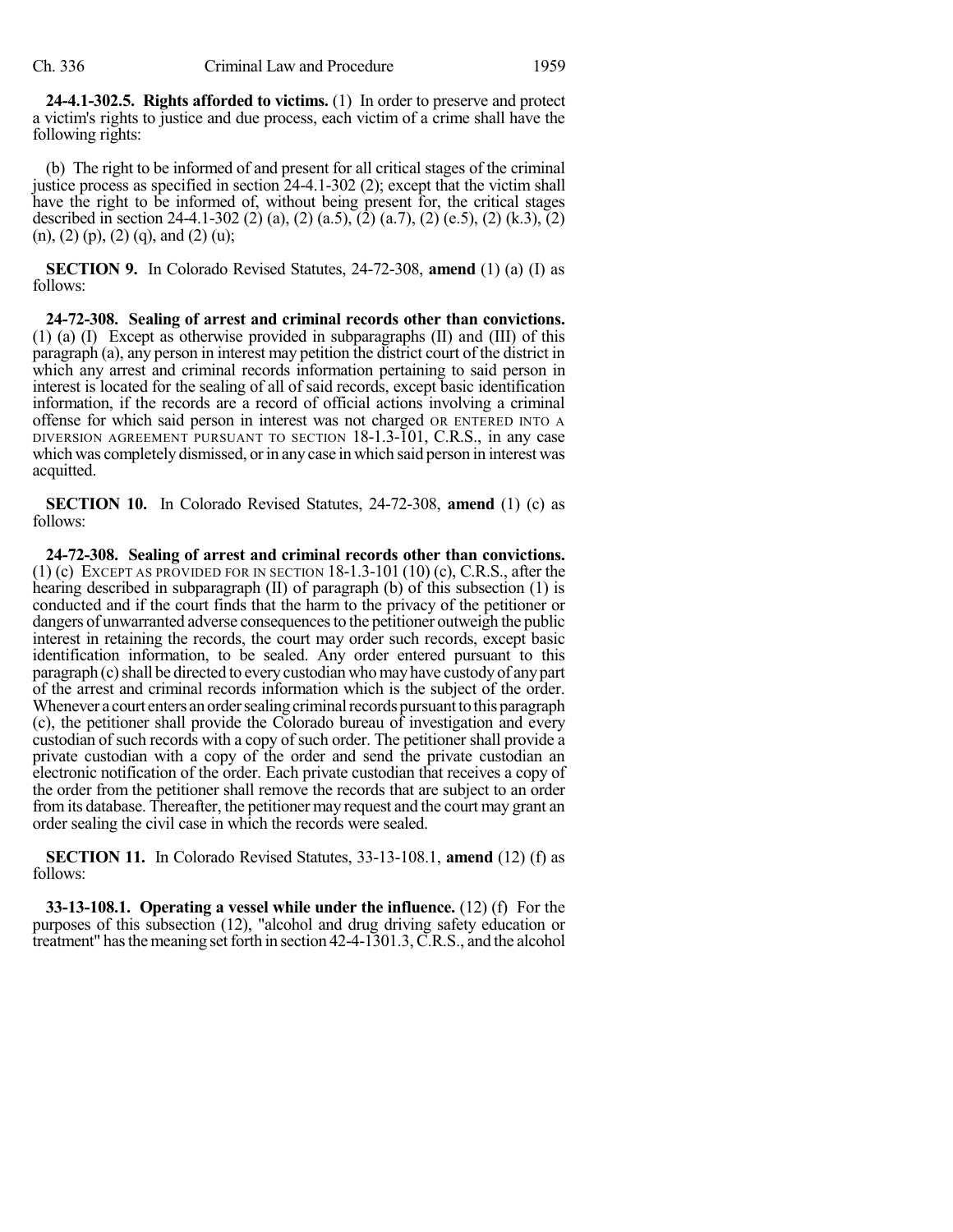**24-4.1-302.5. Rights afforded to victims.** (1) In order to preserve and protect a victim's rights to justice and due process, each victim of a crime shall have the following rights:

(b) The right to be informed of and present for all critical stages of the criminal justice process as specified in section 24-4.1-302 (2); except that the victim shall have the right to be informed of, without being present for, the critical stages described in section 24-4.1-302 (2) (a), (2) (a.5), (2) (a.7), (2) (e.5), (2) (k.3), (2)  $(n)$ ,  $(2)$   $(p)$ ,  $(2)$   $(q)$ , and  $(2)$   $(u)$ ;

**SECTION 9.** In Colorado Revised Statutes, 24-72-308, **amend** (1) (a) (I) as follows:

**24-72-308. Sealing of arrest and criminal records other than convictions.** (1) (a) (I) Except as otherwise provided in subparagraphs (II) and (III) of this paragraph (a), any person in interest may petition the district court of the district in which any arrest and criminal records information pertaining to said person in interest is located for the sealing of all of said records, except basic identification information, if the records are a record of official actions involving a criminal offense for which said person in interest was not charged OR ENTERED INTO A DIVERSION AGREEMENT PURSUANT TO SECTION 18-1.3-101, C.R.S., in any case which was completely dismissed, or in any case in which said person in interest was acquitted.

**SECTION 10.** In Colorado Revised Statutes, 24-72-308, **amend** (1) (c) as follows:

**24-72-308. Sealing of arrest and criminal records other than convictions.** (1) (c) EXCEPT AS PROVIDED FOR IN SECTION  $18-1.3-101(10)$  (c), C.R.S., after the hearing described in subparagraph (II) of paragraph (b) of this subsection (1) is conducted and if the court finds that the harm to the privacy of the petitioner or dangers of unwarranted adverse consequences to the petitioner outweigh the public interest in retaining the records, the court may order such records, except basic identification information, to be sealed. Any order entered pursuant to this paragraph (c) shall be directed to every custodian who may have custody of any part of the arrest and criminal records information which is the subject of the order. Whenever a court enters an order sealing criminal records pursuant to this paragraph (c), the petitioner shall provide the Colorado bureau of investigation and every custodian of such records with a copy of such order. The petitioner shall provide a private custodian with a copy of the order and send the private custodian an electronic notification of the order. Each private custodian that receives a copy of the order from the petitioner shall remove the records that are subject to an order fromits database. Thereafter, the petitioner may request and the court may grant an order sealing the civil case in which the records were sealed.

**SECTION 11.** In Colorado Revised Statutes, 33-13-108.1, **amend** (12) (f) as follows:

**33-13-108.1. Operating a vessel while under the influence.** (12) (f) For the purposes of this subsection (12), "alcohol and drug driving safety education or treatment" has the meaning set forth in section  $42-4-1301.3$ , C.R.S., and the alcohol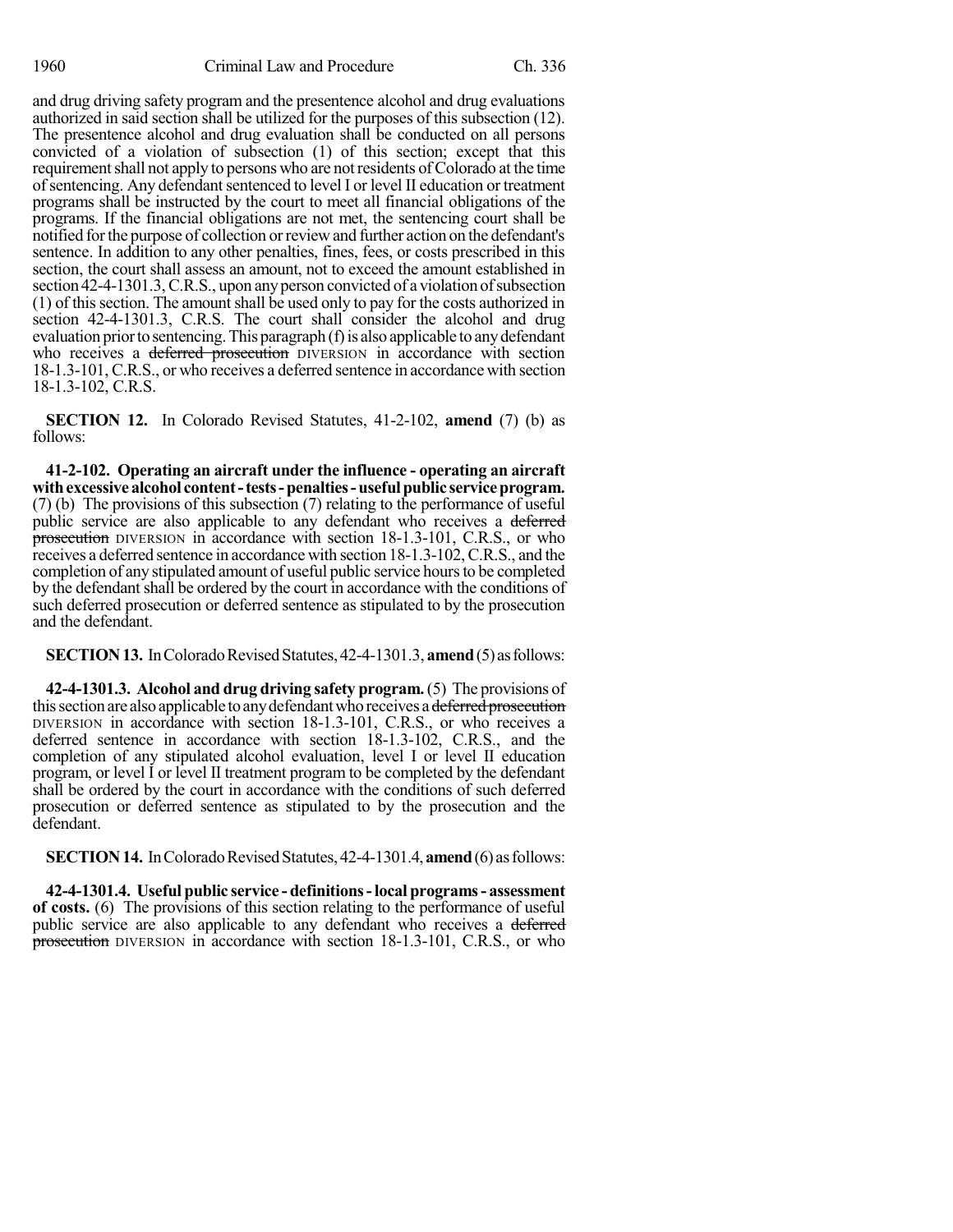and drug driving safety program and the presentence alcohol and drug evaluations authorized in said section shall be utilized for the purposes of this subsection (12). The presentence alcohol and drug evaluation shall be conducted on all persons convicted of a violation of subsection (1) of this section; except that this requirement shall not apply to persons who are not residents of Colorado at the time of sentencing. Any defendant sentenced to level I or level II education or treatment programs shall be instructed by the court to meet all financial obligations of the programs. If the financial obligations are not met, the sentencing court shall be notified forthe purpose of collection orreviewand further action on the defendant's sentence. In addition to any other penalties, fines, fees, or costs prescribed in this section, the court shall assess an amount, not to exceed the amount established in section 42-4-1301.3,C.R.S., upon anyperson convicted of a violation ofsubsection  $(1)$  of this section. The amount shall be used only to pay for the costs authorized in section 42-4-1301.3, C.R.S. The court shall consider the alcohol and drug evaluation prior to sentencing. This paragraph (f) is also applicable to any defendant who receives a deferred prosecution DIVERSION in accordance with section 18-1.3-101, C.R.S., or who receives a deferred sentence in accordance with section 18-1.3-102, C.R.S.

**SECTION 12.** In Colorado Revised Statutes, 41-2-102, **amend** (7) (b) as follows:

**41-2-102. Operating an aircraft under the influence - operating an aircraft withexcessivealcohol content-tests-penalties-usefulpublic serviceprogram.** (7) (b) The provisions of this subsection (7) relating to the performance of useful public service are also applicable to any defendant who receives a deferred prosecution DIVERSION in accordance with section 18-1.3-101, C.R.S., or who receives a deferred sentence in accordance with section 18-1.3-102, C.R.S., and the completion of any stipulated amount of useful public service hours to be completed by the defendant shall be ordered by the court in accordance with the conditions of such deferred prosecution or deferred sentence as stipulated to by the prosecution and the defendant.

**SECTION 13.** In Colorado Revised Statutes, 42-4-1301.3, **amend** (5) as follows:

**42-4-1301.3. Alcohol and drug driving safety program.**(5) The provisions of this section are also applicable to any defendant who receives a deferred prosecution DIVERSION in accordance with section 18-1.3-101, C.R.S., or who receives a deferred sentence in accordance with section 18-1.3-102, C.R.S., and the completion of any stipulated alcohol evaluation, level I or level II education program, or level I or level II treatment program to be completed by the defendant shall be ordered by the court in accordance with the conditions of such deferred prosecution or deferred sentence as stipulated to by the prosecution and the defendant.

**SECTION 14.** In Colorado Revised Statutes, 42-4-1301.4, **amend** (6) as follows:

**42-4-1301.4. Useful public service - definitions-local programs- assessment of costs.** (6) The provisions of this section relating to the performance of useful public service are also applicable to any defendant who receives a deferred prosecution DIVERSION in accordance with section 18-1.3-101, C.R.S., or who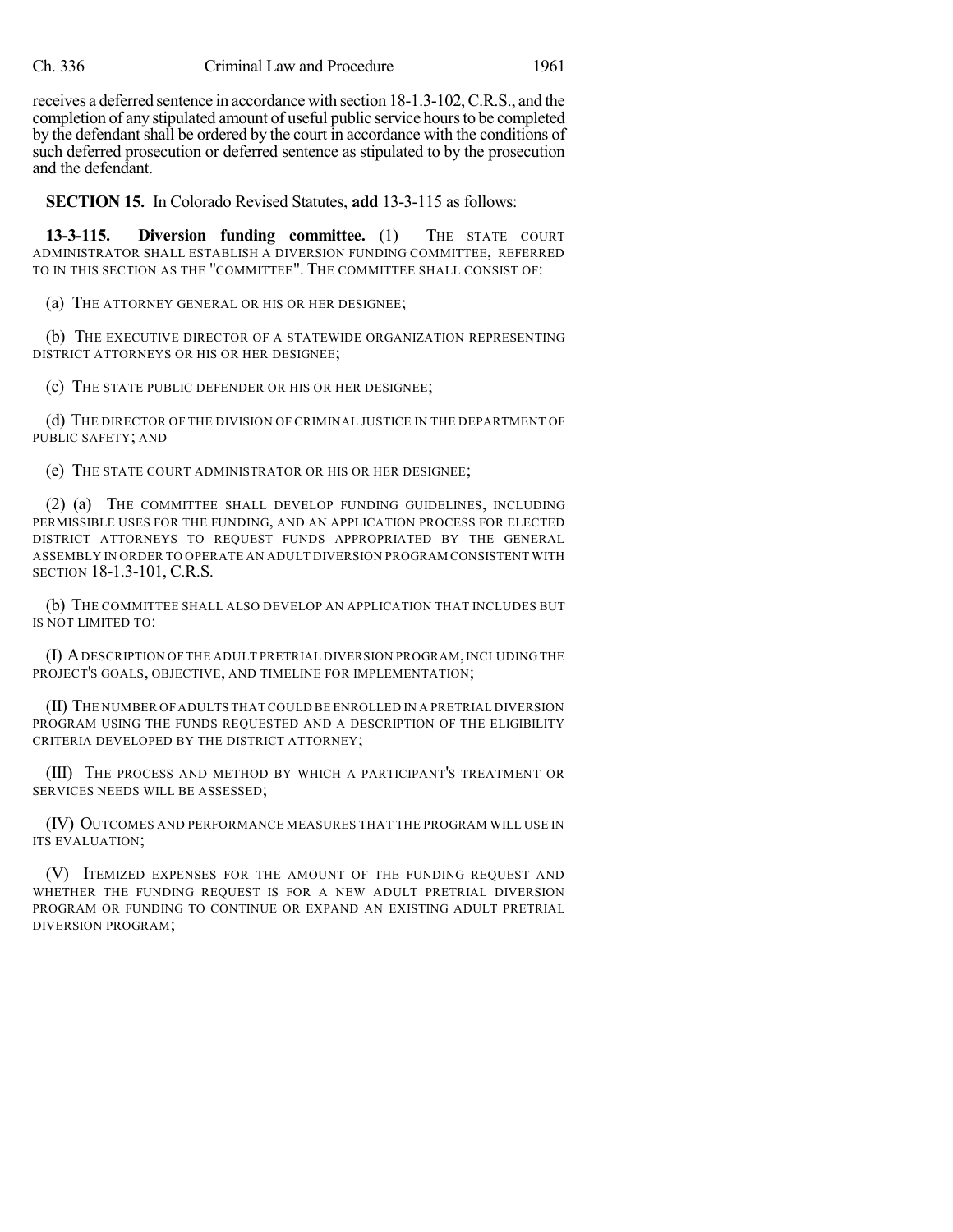receives a deferred sentence in accordance with section 18-1.3-102, C.R.S., and the completion of any stipulated amount of useful public service hours to be completed by the defendant shall be ordered by the court in accordance with the conditions of such deferred prosecution or deferred sentence as stipulated to by the prosecution and the defendant.

**SECTION 15.** In Colorado Revised Statutes, **add** 13-3-115 as follows:

**13-3-115. Diversion funding committee.** (1) THE STATE COURT ADMINISTRATOR SHALL ESTABLISH A DIVERSION FUNDING COMMITTEE, REFERRED TO IN THIS SECTION AS THE "COMMITTEE". THE COMMITTEE SHALL CONSIST OF:

(a) THE ATTORNEY GENERAL OR HIS OR HER DESIGNEE;

(b) THE EXECUTIVE DIRECTOR OF A STATEWIDE ORGANIZATION REPRESENTING DISTRICT ATTORNEYS OR HIS OR HER DESIGNEE;

(c) THE STATE PUBLIC DEFENDER OR HIS OR HER DESIGNEE;

(d) THE DIRECTOR OF THE DIVISION OF CRIMINAL JUSTICE IN THE DEPARTMENT OF PUBLIC SAFETY; AND

(e) THE STATE COURT ADMINISTRATOR OR HIS OR HER DESIGNEE;

(2) (a) THE COMMITTEE SHALL DEVELOP FUNDING GUIDELINES, INCLUDING PERMISSIBLE USES FOR THE FUNDING, AND AN APPLICATION PROCESS FOR ELECTED DISTRICT ATTORNEYS TO REQUEST FUNDS APPROPRIATED BY THE GENERAL ASSEMBLY IN ORDER TO OPERATE AN ADULT DIVERSION PROGRAM CONSISTENT WITH SECTION 18-1.3-101, C.R.S.

(b) THE COMMITTEE SHALL ALSO DEVELOP AN APPLICATION THAT INCLUDES BUT IS NOT LIMITED TO:

(I) ADESCRIPTION OF THE ADULT PRETRIAL DIVERSION PROGRAM,INCLUDING THE PROJECT'S GOALS, OBJECTIVE, AND TIMELINE FOR IMPLEMENTATION;

(II) THE NUMBER OF ADULTS THATCOULD BE ENROLLED IN A PRETRIAL DIVERSION PROGRAM USING THE FUNDS REQUESTED AND A DESCRIPTION OF THE ELIGIBILITY CRITERIA DEVELOPED BY THE DISTRICT ATTORNEY;

(III) THE PROCESS AND METHOD BY WHICH A PARTICIPANT'S TREATMENT OR SERVICES NEEDS WILL BE ASSESSED;

(IV) OUTCOMES AND PERFORMANCE MEASURES THAT THE PROGRAM WILL USE IN ITS EVALUATION;

(V) ITEMIZED EXPENSES FOR THE AMOUNT OF THE FUNDING REQUEST AND WHETHER THE FUNDING REQUEST IS FOR A NEW ADULT PRETRIAL DIVERSION PROGRAM OR FUNDING TO CONTINUE OR EXPAND AN EXISTING ADULT PRETRIAL DIVERSION PROGRAM;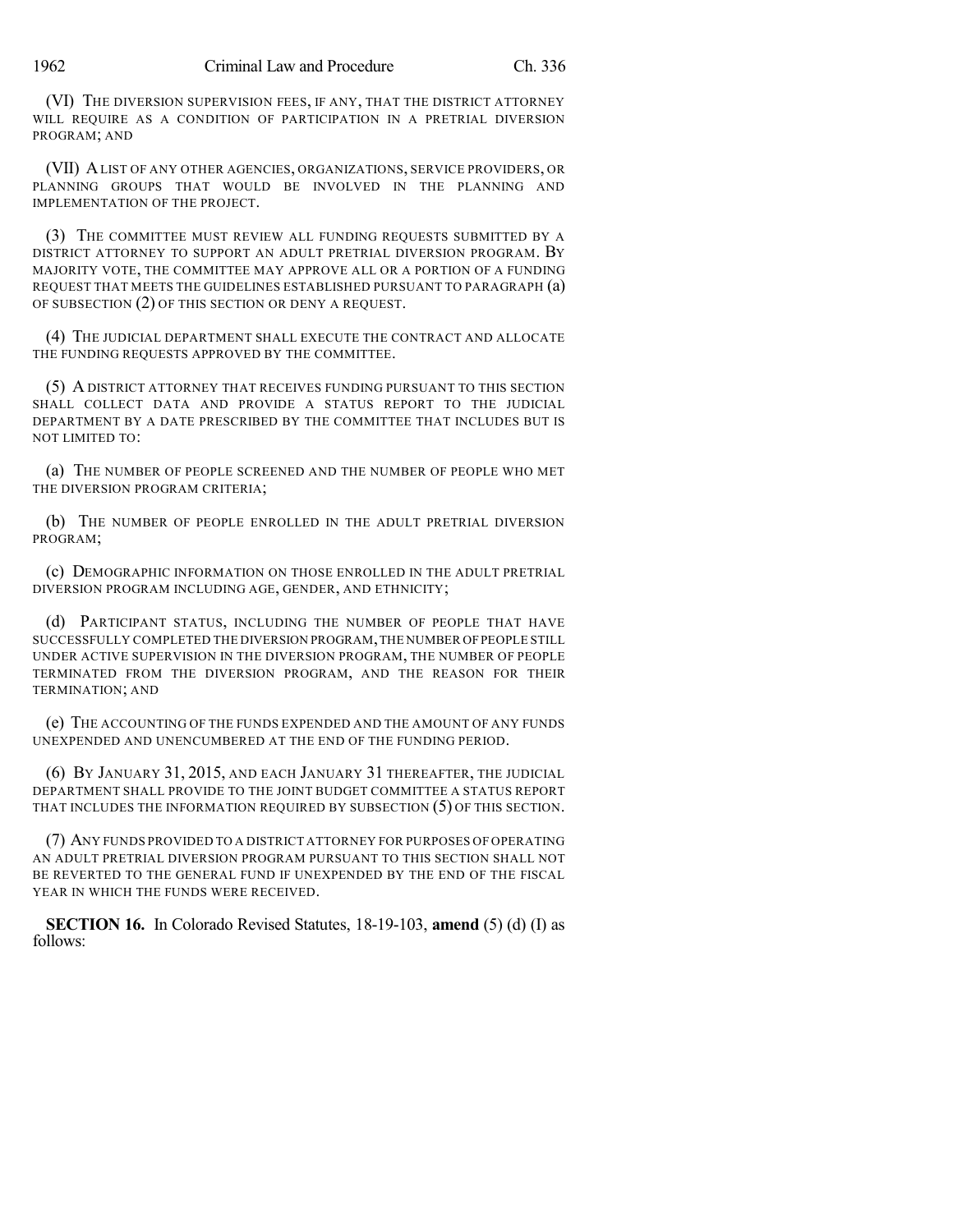(VI) THE DIVERSION SUPERVISION FEES, IF ANY, THAT THE DISTRICT ATTORNEY WILL REQUIRE AS A CONDITION OF PARTICIPATION IN A PRETRIAL DIVERSION PROGRAM; AND

(VII) ALIST OF ANY OTHER AGENCIES, ORGANIZATIONS, SERVICE PROVIDERS, OR PLANNING GROUPS THAT WOULD BE INVOLVED IN THE PLANNING AND IMPLEMENTATION OF THE PROJECT.

(3) THE COMMITTEE MUST REVIEW ALL FUNDING REQUESTS SUBMITTED BY A DISTRICT ATTORNEY TO SUPPORT AN ADULT PRETRIAL DIVERSION PROGRAM. BY MAJORITY VOTE, THE COMMITTEE MAY APPROVE ALL OR A PORTION OF A FUNDING REQUEST THAT MEETS THE GUIDELINES ESTABLISHED PURSUANT TO PARAGRAPH (a) OF SUBSECTION (2) OF THIS SECTION OR DENY A REQUEST.

(4) THE JUDICIAL DEPARTMENT SHALL EXECUTE THE CONTRACT AND ALLOCATE THE FUNDING REQUESTS APPROVED BY THE COMMITTEE.

(5) A DISTRICT ATTORNEY THAT RECEIVES FUNDING PURSUANT TO THIS SECTION SHALL COLLECT DATA AND PROVIDE A STATUS REPORT TO THE JUDICIAL DEPARTMENT BY A DATE PRESCRIBED BY THE COMMITTEE THAT INCLUDES BUT IS NOT LIMITED TO:

(a) THE NUMBER OF PEOPLE SCREENED AND THE NUMBER OF PEOPLE WHO MET THE DIVERSION PROGRAM CRITERIA;

(b) THE NUMBER OF PEOPLE ENROLLED IN THE ADULT PRETRIAL DIVERSION PROGRAM;

(c) DEMOGRAPHIC INFORMATION ON THOSE ENROLLED IN THE ADULT PRETRIAL DIVERSION PROGRAM INCLUDING AGE, GENDER, AND ETHNICITY;

(d) PARTICIPANT STATUS, INCLUDING THE NUMBER OF PEOPLE THAT HAVE SUCCESSFULLY COMPLETED THE DIVERSION PROGRAM,THE NUMBER OFPEOPLE STILL UNDER ACTIVE SUPERVISION IN THE DIVERSION PROGRAM, THE NUMBER OF PEOPLE TERMINATED FROM THE DIVERSION PROGRAM, AND THE REASON FOR THEIR TERMINATION; AND

(e) THE ACCOUNTING OF THE FUNDS EXPENDED AND THE AMOUNT OF ANY FUNDS UNEXPENDED AND UNENCUMBERED AT THE END OF THE FUNDING PERIOD.

(6) BY JANUARY 31, 2015, AND EACH JANUARY 31 THEREAFTER, THE JUDICIAL DEPARTMENT SHALL PROVIDE TO THE JOINT BUDGET COMMITTEE A STATUS REPORT THAT INCLUDES THE INFORMATION REQUIRED BY SUBSECTION (5) OF THIS SECTION.

(7) ANY FUNDS PROVIDED TO A DISTRICT ATTORNEY FOR PURPOSES OF OPERATING AN ADULT PRETRIAL DIVERSION PROGRAM PURSUANT TO THIS SECTION SHALL NOT BE REVERTED TO THE GENERAL FUND IF UNEXPENDED BY THE END OF THE FISCAL YEAR IN WHICH THE FUNDS WERE RECEIVED.

**SECTION 16.** In Colorado Revised Statutes, 18-19-103, **amend** (5) (d) (I) as follows: